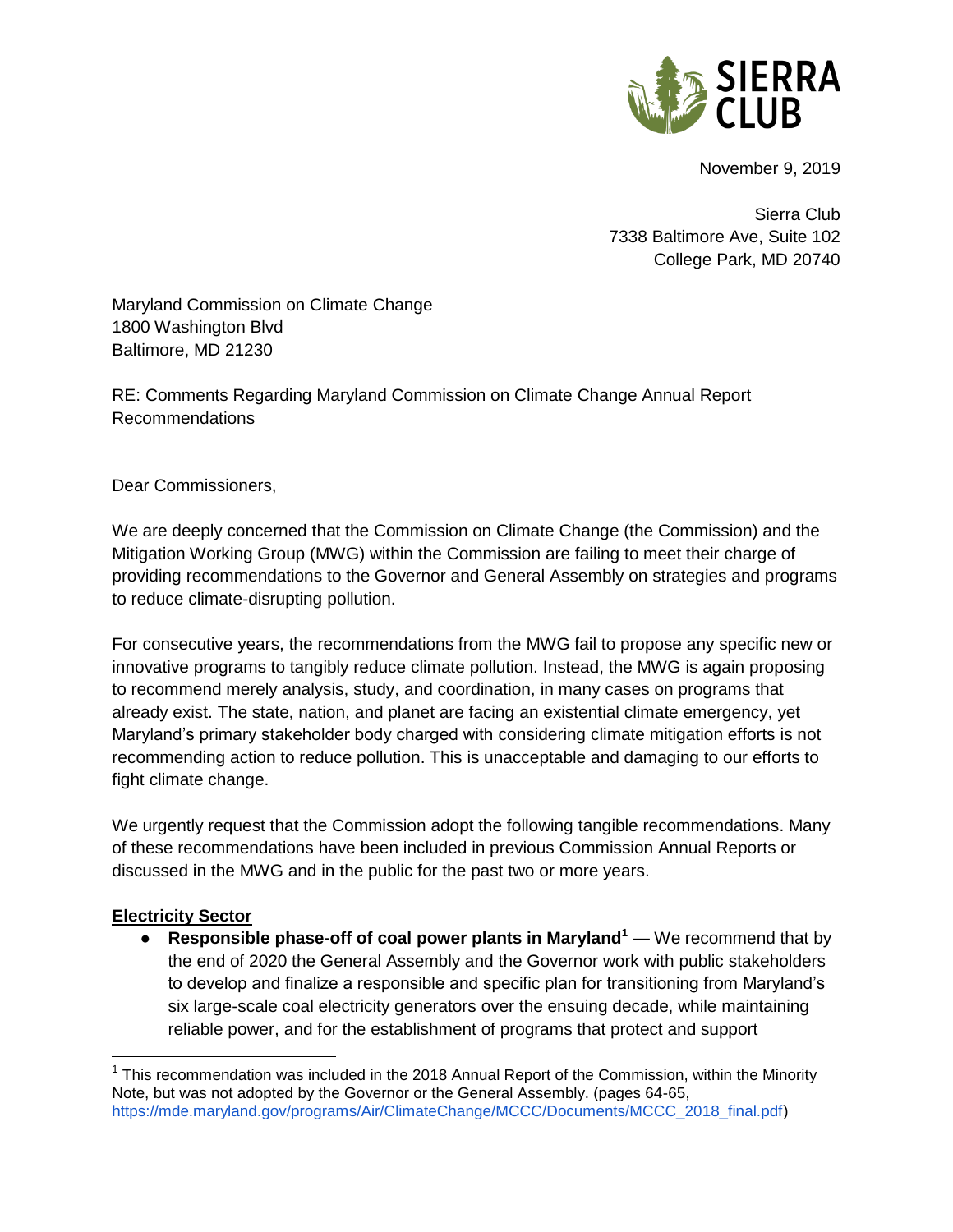

November 9, 2019

Sierra Club 7338 Baltimore Ave, Suite 102 College Park, MD 20740

Maryland Commission on Climate Change 1800 Washington Blvd Baltimore, MD 21230

RE: Comments Regarding Maryland Commission on Climate Change Annual Report Recommendations

Dear Commissioners,

We are deeply concerned that the Commission on Climate Change (the Commission) and the Mitigation Working Group (MWG) within the Commission are failing to meet their charge of providing recommendations to the Governor and General Assembly on strategies and programs to reduce climate-disrupting pollution.

For consecutive years, the recommendations from the MWG fail to propose any specific new or innovative programs to tangibly reduce climate pollution. Instead, the MWG is again proposing to recommend merely analysis, study, and coordination, in many cases on programs that already exist. The state, nation, and planet are facing an existential climate emergency, yet Maryland's primary stakeholder body charged with considering climate mitigation efforts is not recommending action to reduce pollution. This is unacceptable and damaging to our efforts to fight climate change.

We urgently request that the Commission adopt the following tangible recommendations. Many of these recommendations have been included in previous Commission Annual Reports or discussed in the MWG and in the public for the past two or more years.

## **Electricity Sector**

 $\overline{a}$ 

● **Responsible phase-off of coal power plants in Maryland<sup>1</sup>** — We recommend that by the end of 2020 the General Assembly and the Governor work with public stakeholders to develop and finalize a responsible and specific plan for transitioning from Maryland's six large-scale coal electricity generators over the ensuing decade, while maintaining reliable power, and for the establishment of programs that protect and support

<sup>&</sup>lt;sup>1</sup> This recommendation was included in the 2018 Annual Report of the Commission, within the Minority Note, but was not adopted by the Governor or the General Assembly. (pages 64-65, [https://mde.maryland.gov/programs/Air/ClimateChange/MCCC/Documents/MCCC\\_2018\\_final.pdf\)](https://mde.maryland.gov/programs/Air/ClimateChange/MCCC/Documents/MCCC_2018_final.pdf)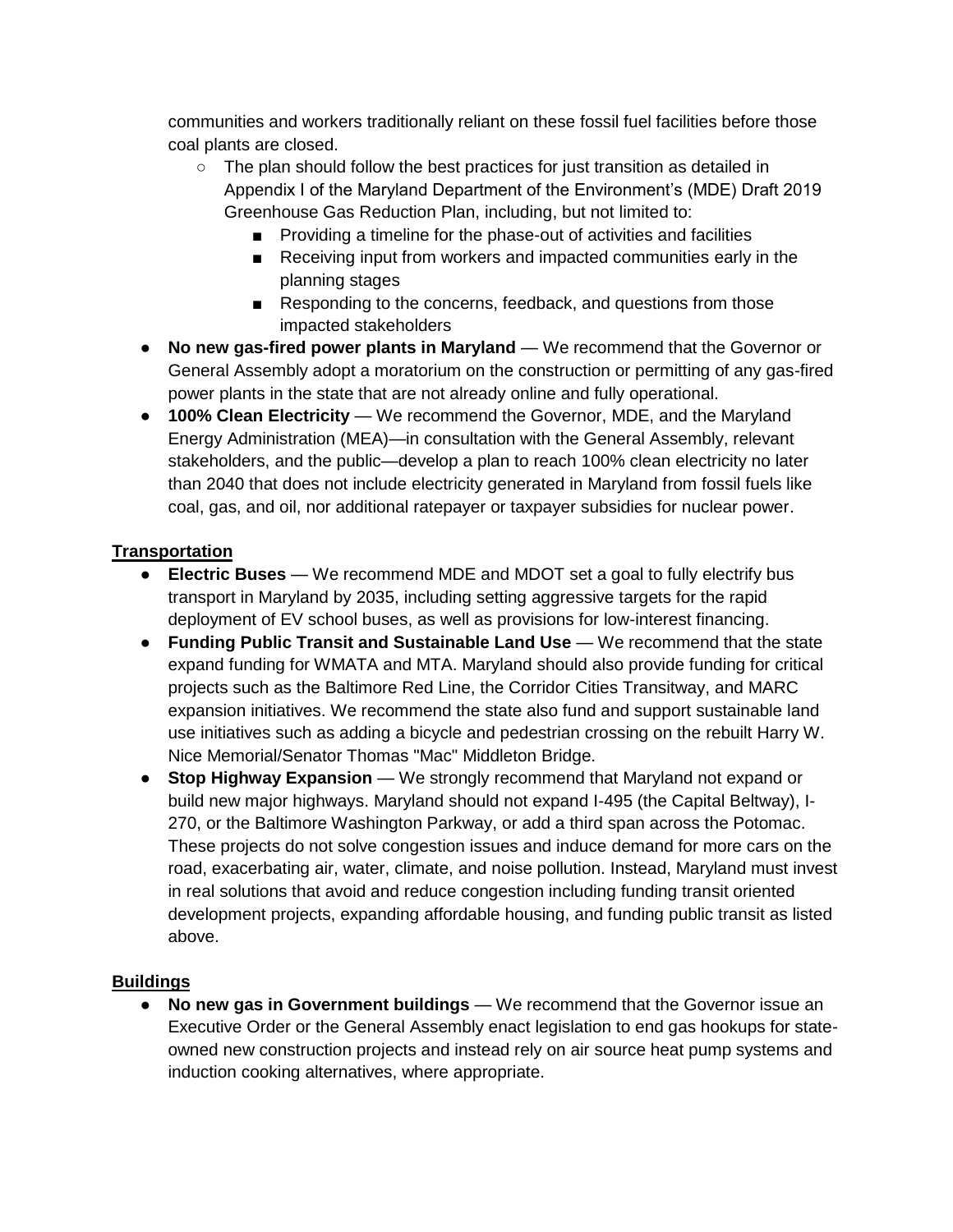communities and workers traditionally reliant on these fossil fuel facilities before those coal plants are closed.

- $\circ$  The plan should follow the best practices for just transition as detailed in Appendix I of the Maryland Department of the Environment's (MDE) Draft 2019 Greenhouse Gas Reduction Plan, including, but not limited to:
	- Providing a timeline for the phase-out of activities and facilities
	- Receiving input from workers and impacted communities early in the planning stages
	- Responding to the concerns, feedback, and questions from those impacted stakeholders
- **No new gas-fired power plants in Maryland** We recommend that the Governor or General Assembly adopt a moratorium on the construction or permitting of any gas-fired power plants in the state that are not already online and fully operational.
- **100% Clean Electricity** We recommend the Governor, MDE, and the Maryland Energy Administration (MEA)—in consultation with the General Assembly, relevant stakeholders, and the public—develop a plan to reach 100% clean electricity no later than 2040 that does not include electricity generated in Maryland from fossil fuels like coal, gas, and oil, nor additional ratepayer or taxpayer subsidies for nuclear power.

## **Transportation**

- **Electric Buses** We recommend MDE and MDOT set a goal to fully electrify bus transport in Maryland by 2035, including setting aggressive targets for the rapid deployment of EV school buses, as well as provisions for low-interest financing.
- **Funding Public Transit and Sustainable Land Use** We recommend that the state expand funding for WMATA and MTA. Maryland should also provide funding for critical projects such as the Baltimore Red Line, the Corridor Cities Transitway, and MARC expansion initiatives. We recommend the state also fund and support sustainable land use initiatives such as adding a bicycle and pedestrian crossing on the rebuilt Harry W. Nice Memorial/Senator Thomas "Mac" Middleton Bridge.
- **Stop Highway Expansion** We strongly recommend that Maryland not expand or build new major highways. Maryland should not expand I-495 (the Capital Beltway), I-270, or the Baltimore Washington Parkway, or add a third span across the Potomac. These projects do not solve congestion issues and induce demand for more cars on the road, exacerbating air, water, climate, and noise pollution. Instead, Maryland must invest in real solutions that avoid and reduce congestion including funding transit oriented development projects, expanding affordable housing, and funding public transit as listed above.

## **Buildings**

● **No new gas in Government buildings** — We recommend that the Governor issue an Executive Order or the General Assembly enact legislation to end gas hookups for stateowned new construction projects and instead rely on air source heat pump systems and induction cooking alternatives, where appropriate.